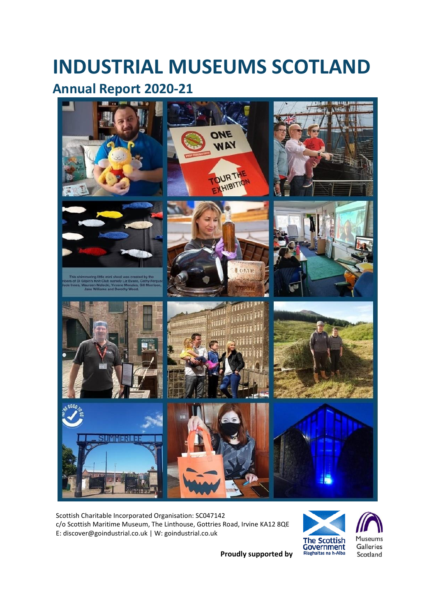# **INDUSTRIAL MUSEUMS SCOTLAND**

# **Annual Report 2020-21**



Scottish Charitable Incorporated Organisation: SC047142 c/o Scottish Maritime Museum, The Linthouse, Gottries Road, Irvine KA12 8QE E: discover@goindustrial.co.uk | W: goindustrial.co.uk



**Proudly supported by**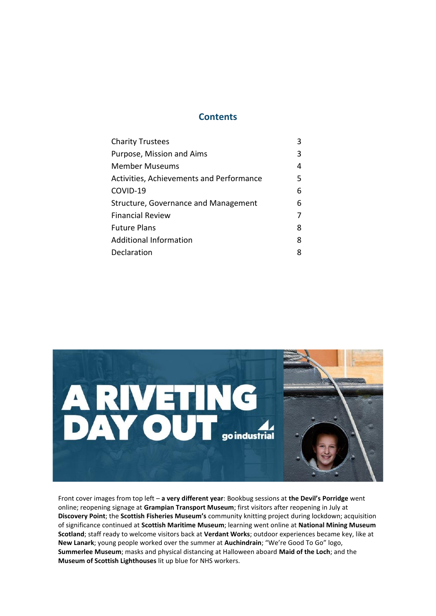#### **Contents**

| <b>Charity Trustees</b>                  | 3 |
|------------------------------------------|---|
| Purpose, Mission and Aims                | 3 |
| Member Museums                           | 4 |
| Activities, Achievements and Performance | 5 |
| COVID-19                                 | 6 |
| Structure, Governance and Management     | 6 |
| <b>Financial Review</b>                  | 7 |
| <b>Future Plans</b>                      | 8 |
| <b>Additional Information</b>            | 8 |
| Declaration                              | 8 |
|                                          |   |



Front cover images from top left – **a very different year**: Bookbug sessions at **the Devil's Porridge** went online; reopening signage at **Grampian Transport Museum**; first visitors after reopening in July at **Discovery Point**; the **Scottish Fisheries Museum's** community knitting project during lockdown; acquisition of significance continued at **Scottish Maritime Museum**; learning went online at **National Mining Museum Scotland**; staff ready to welcome visitors back at **Verdant Works**; outdoor experiences became key, like at **New Lanark**; young people worked over the summer at **Auchindrain**; "We're Good To Go" logo, **Summerlee Museum**; masks and physical distancing at Halloween aboard **Maid of the Loch**; and the **Museum of Scottish Lighthouses** lit up blue for NHS workers.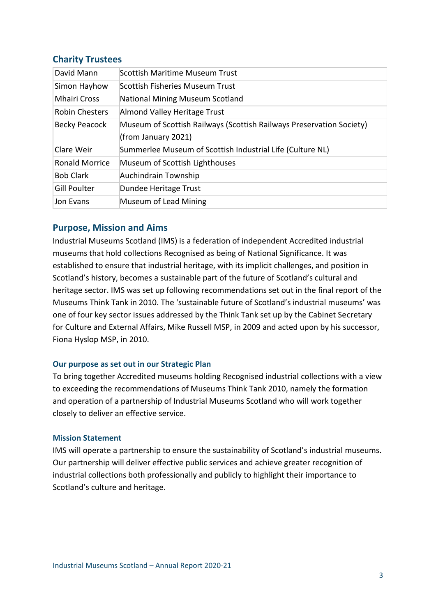# **Charity Trustees**

| David Mann            | Scottish Maritime Museum Trust                                       |
|-----------------------|----------------------------------------------------------------------|
| Simon Hayhow          | Scottish Fisheries Museum Trust                                      |
| <b>Mhairi Cross</b>   | National Mining Museum Scotland                                      |
| <b>Robin Chesters</b> | Almond Valley Heritage Trust                                         |
| <b>Becky Peacock</b>  | Museum of Scottish Railways (Scottish Railways Preservation Society) |
|                       | (from January 2021)                                                  |
| Clare Weir            | Summerlee Museum of Scottish Industrial Life (Culture NL)            |
| <b>Ronald Morrice</b> | Museum of Scottish Lighthouses                                       |
| <b>Bob Clark</b>      | Auchindrain Township                                                 |
| Gill Poulter          | Dundee Heritage Trust                                                |
| Jon Evans             | Museum of Lead Mining                                                |

# **Purpose, Mission and Aims**

Industrial Museums Scotland (IMS) is a federation of independent Accredited industrial museums that hold collections Recognised as being of National Significance. It was established to ensure that industrial heritage, with its implicit challenges, and position in Scotland's history, becomes a sustainable part of the future of Scotland's cultural and heritage sector. IMS was set up following recommendations set out in the final report of the Museums Think Tank in 2010. The 'sustainable future of Scotland's industrial museums' was one of four key sector issues addressed by the Think Tank set up by the Cabinet Secretary for Culture and External Affairs, Mike Russell MSP, in 2009 and acted upon by his successor, Fiona Hyslop MSP, in 2010.

#### **Our purpose as set out in our Strategic Plan**

To bring together Accredited museums holding Recognised industrial collections with a view to exceeding the recommendations of Museums Think Tank 2010, namely the formation and operation of a partnership of Industrial Museums Scotland who will work together closely to deliver an effective service.

#### **Mission Statement**

IMS will operate a partnership to ensure the sustainability of Scotland's industrial museums. Our partnership will deliver effective public services and achieve greater recognition of industrial collections both professionally and publicly to highlight their importance to Scotland's culture and heritage.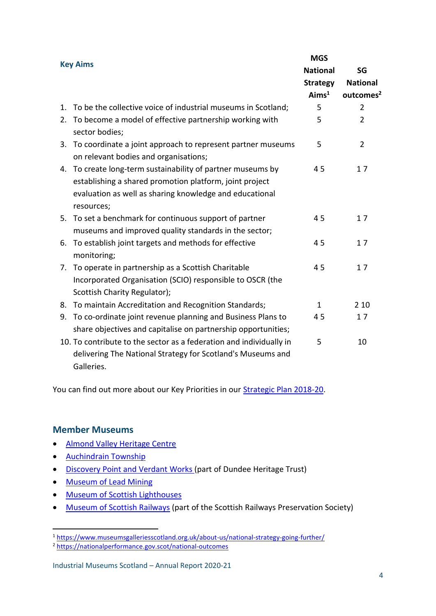| <b>Key Aims</b> |                                                                                                                                                                                              | <b>MGS</b>        |                       |
|-----------------|----------------------------------------------------------------------------------------------------------------------------------------------------------------------------------------------|-------------------|-----------------------|
|                 |                                                                                                                                                                                              | <b>National</b>   | SG                    |
|                 |                                                                                                                                                                                              | <b>Strategy</b>   | <b>National</b>       |
|                 |                                                                                                                                                                                              | Aims <sup>1</sup> | outcomes <sup>2</sup> |
| 1.              | To be the collective voice of industrial museums in Scotland;                                                                                                                                | 5                 | $\overline{2}$        |
| 2.              | To become a model of effective partnership working with<br>sector bodies;                                                                                                                    | 5                 | $\overline{2}$        |
| 3.              | To coordinate a joint approach to represent partner museums<br>on relevant bodies and organisations;                                                                                         | 5                 | 2                     |
| 4.              | To create long-term sustainability of partner museums by<br>establishing a shared promotion platform, joint project<br>evaluation as well as sharing knowledge and educational<br>resources; | 45                | 17                    |
| 5.              | To set a benchmark for continuous support of partner<br>museums and improved quality standards in the sector;                                                                                | 45                | 17                    |
| 6.              | To establish joint targets and methods for effective<br>monitoring;                                                                                                                          | 45                | 17                    |
|                 | 7. To operate in partnership as a Scottish Charitable<br>Incorporated Organisation (SCIO) responsible to OSCR (the<br>Scottish Charity Regulator);                                           | 45                | 17                    |
| 8.              | To maintain Accreditation and Recognition Standards;                                                                                                                                         | $\mathbf{1}$      | 2 1 0                 |
| 9.              | To co-ordinate joint revenue planning and Business Plans to<br>share objectives and capitalise on partnership opportunities;                                                                 | 45                | 17                    |
|                 | 10. To contribute to the sector as a federation and individually in<br>delivering The National Strategy for Scotland's Museums and<br>Galleries.                                             | 5                 | 10                    |

You can find out more about our Key Priorities in our **Strategic Plan 2018-20.** 

# **Member Museums**

- [Almond Valley Heritage Centre](http://www.scottishshale.co.uk/)
- [Auchindrain Township](http://www.auchindrain.org.uk/)
- [Discovery](http://www.rrsdiscovery.com/dht/) Point and Verdant Works (part of Dundee Heritage Trust)
- [Museum of Lead Mining](http://www.leadminingmuseum.co.uk/home.shtml)
- [Museum of Scottish Lighthouses](http://www.lighthousemuseum.org.uk/)
- [Museum of Scottish Railways](http://www.srps.org.uk/related/sre.htm) (part of the Scottish Railways Preservation Society)

**<sup>.</sup>** <sup>1</sup> <https://www.museumsgalleriesscotland.org.uk/about-us/national-strategy-going-further/>

<sup>2</sup> <https://nationalperformance.gov.scot/national-outcomes>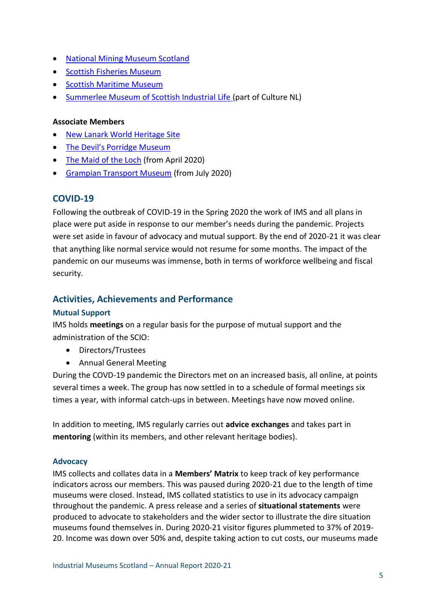- [National Mining Museum Scotland](file:///C:/Users/info/AppData/Local/Temp/bat/•%09http:/nationalminingmuseum.com/)
- [Scottish Fisheries Museum](http://www.scotfishmuseum.org/)
- [Scottish Maritime Museum](http://www.scottishmaritimemuseum.org/)
- [Summerlee Museum of Scottish Industrial Life](http://culturenl.co.uk/museums/visiting-us/summerlee-museum-of-scottish-industrial-life/) (part of Culture NL)

#### **Associate Members**

- New Lanark [World Heritage Site](http://www.newlanark.org/world-heritage-site/new-lanark-trust.shtml)
- [The Devil's Porridge Museum](https://www.devilsporridge.org.uk/)
- [The Maid of the Loch](https://www.goindustrial.co.uk/museum/maid-of-the-loch) (from April 2020)
- [Grampian Transport Museum](https://www.goindustrial.co.uk/museum/grampian-transport-museum) (from July 2020)

## **COVID-19**

Following the outbreak of COVID-19 in the Spring 2020 the work of IMS and all plans in place were put aside in response to our member's needs during the pandemic. Projects were set aside in favour of advocacy and mutual support. By the end of 2020-21 it was clear that anything like normal service would not resume for some months. The impact of the pandemic on our museums was immense, both in terms of workforce wellbeing and fiscal security.

# **Activities, Achievements and Performance**

#### **Mutual Support**

IMS holds **meetings** on a regular basis for the purpose of mutual support and the administration of the SCIO:

- Directors/Trustees
- Annual General Meeting

During the COVD-19 pandemic the Directors met on an increased basis, all online, at points several times a week. The group has now settled in to a schedule of formal meetings six times a year, with informal catch-ups in between. Meetings have now moved online.

In addition to meeting, IMS regularly carries out **advice exchanges** and takes part in **mentoring** (within its members, and other relevant heritage bodies).

#### **Advocacy**

IMS collects and collates data in a **Members' Matrix** to keep track of key performance indicators across our members. This was paused during 2020-21 due to the length of time museums were closed. Instead, IMS collated statistics to use in its advocacy campaign throughout the pandemic. A press release and a series of **situational statements** were produced to advocate to stakeholders and the wider sector to illustrate the dire situation museums found themselves in. During 2020-21 visitor figures plummeted to 37% of 2019- 20. Income was down over 50% and, despite taking action to cut costs, our museums made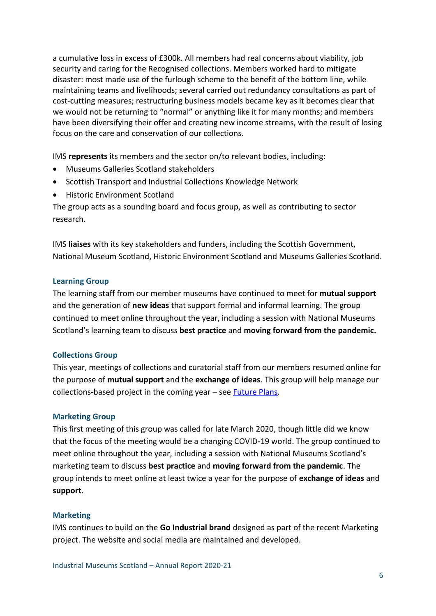a cumulative loss in excess of £300k. All members had real concerns about viability, job security and caring for the Recognised collections. Members worked hard to mitigate disaster: most made use of the furlough scheme to the benefit of the bottom line, while maintaining teams and livelihoods; several carried out redundancy consultations as part of cost-cutting measures; restructuring business models became key as it becomes clear that we would not be returning to "normal" or anything like it for many months; and members have been diversifying their offer and creating new income streams, with the result of losing focus on the care and conservation of our collections.

IMS **represents** its members and the sector on/to relevant bodies, including:

- Museums Galleries Scotland stakeholders
- Scottish Transport and Industrial Collections Knowledge Network
- Historic Environment Scotland

The group acts as a sounding board and focus group, as well as contributing to sector research.

IMS **liaises** with its key stakeholders and funders, including the Scottish Government, National Museum Scotland, Historic Environment Scotland and Museums Galleries Scotland.

#### **Learning Group**

The learning staff from our member museums have continued to meet for **mutual support** and the generation of **new ideas** that support formal and informal learning. The group continued to meet online throughout the year, including a session with National Museums Scotland's learning team to discuss **best practice** and **moving forward from the pandemic.**

#### **Collections Group**

This year, meetings of collections and curatorial staff from our members resumed online for the purpose of **mutual support** and the **exchange of ideas**. This group will help manage our collections-based project in the coming year  $-$  see **Future Plans**.

#### **Marketing Group**

This first meeting of this group was called for late March 2020, though little did we know that the focus of the meeting would be a changing COVID-19 world. The group continued to meet online throughout the year, including a session with National Museums Scotland's marketing team to discuss **best practice** and **moving forward from the pandemic**. The group intends to meet online at least twice a year for the purpose of **exchange of ideas** and **support**.

#### **Marketing**

IMS continues to build on the **Go Industrial brand** designed as part of the recent Marketing project. The website and social media are maintained and developed.

Industrial Museums Scotland – Annual Report 2020-21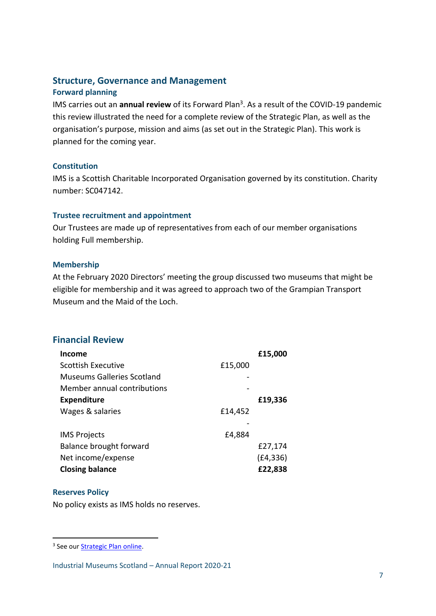# **Structure, Governance and Management Forward planning**

IMS carries out an **annual review** of its Forward Plan<sup>3</sup>. As a result of the COVID-19 pandemic this review illustrated the need for a complete review of the Strategic Plan, as well as the organisation's purpose, mission and aims (as set out in the Strategic Plan). This work is planned for the coming year.

#### **Constitution**

IMS is a Scottish Charitable Incorporated Organisation governed by its constitution. Charity number: SC047142.

#### **Trustee recruitment and appointment**

Our Trustees are made up of representatives from each of our member organisations holding Full membership.

#### **Membership**

At the February 2020 Directors' meeting the group discussed two museums that might be eligible for membership and it was agreed to approach two of the Grampian Transport Museum and the Maid of the Loch.

# **Financial Review**

| Income                            |         | £15,000   |
|-----------------------------------|---------|-----------|
| Scottish Executive                | £15,000 |           |
| <b>Museums Galleries Scotland</b> |         |           |
| Member annual contributions       |         |           |
| <b>Expenditure</b>                |         | £19,336   |
| Wages & salaries                  | £14,452 |           |
|                                   |         |           |
| <b>IMS Projects</b>               | £4,884  |           |
| Balance brought forward           |         | £27,174   |
| Net income/expense                |         | (E4, 336) |
| <b>Closing balance</b>            |         | £22,838   |

## **Reserves Policy**

1

No policy exists as IMS holds no reserves.

<sup>&</sup>lt;sup>3</sup> See our **Strategic Plan online**.

Industrial Museums Scotland – Annual Report 2020-21